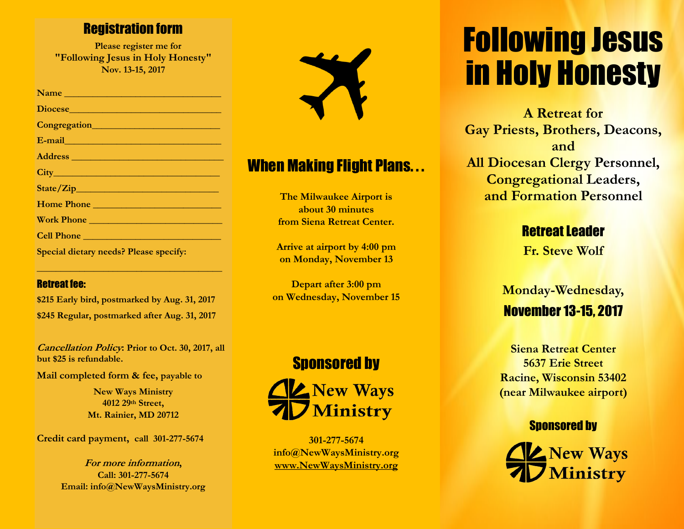### Registration form

 **Please register me for "Following Jesus in Holy Honesty" Nov. 13-15, 2017**

| Name and the contract of the contract of the contract of the contract of the contract of the contract of the contract of the contract of the contract of the contract of the contract of the contract of the contract of the c       |
|--------------------------------------------------------------------------------------------------------------------------------------------------------------------------------------------------------------------------------------|
| Diocese <b>and the contract of the contract of the contract of the contract of the contract of the contract of the contract of the contract of the contract of the contract of the contract of the contract of the contract of t</b> |
| Congregation                                                                                                                                                                                                                         |
| E-mail entrepreneurs and the contract of the contract of the contract of the contract of the contract of the contract of the contract of the contract of the contract of the contract of the contract of the contract of the c       |
|                                                                                                                                                                                                                                      |
|                                                                                                                                                                                                                                      |
|                                                                                                                                                                                                                                      |
| Home Phone                                                                                                                                                                                                                           |
| Work Phone                                                                                                                                                                                                                           |
|                                                                                                                                                                                                                                      |
| <b>Special dietary needs? Please specify:</b>                                                                                                                                                                                        |

#### Retreat fee:

**\$215 Early bird, postmarked by Aug. 31, 2017 \$245 Regular, postmarked after Aug. 31, 2017**

**\_\_\_\_\_\_\_\_\_\_\_\_\_\_\_\_\_\_\_\_\_\_\_\_\_\_\_\_\_\_\_\_\_\_\_\_\_\_\_** 

**Cancellation Policy: Prior to Oct. 30, 2017, all but \$25 is refundable.**

**Mail completed form & fee, payable to** 

**New Ways Ministry 4012 29th Street, Mt. Rainier, MD 20712**

**Credit card payment, call 301-277-5674**

**For more information, Call: 301-277-5674 Email: info@NewWaysMinistry.org** 



## **When Making Flight Plans...**

**The Milwaukee Airport is about 30 minutes from Siena Retreat Center.**

**Arrive at airport by 4:00 pm on Monday, November 13**

**Depart after 3:00 pm on Wednesday, November 15**



**301-277-5674 info@NewWaysMinistry.org [www.NewWaysMinistry.org](http://www.newwaysministry.org/)**

## Following Jesus in Holy Honesty

**A Retreat for Gay Priests, Brothers, Deacons, and All Diocesan Clergy Personnel, Congregational Leaders, and Formation Personnel**

### Retreat Leader

**Fr. Steve Wolf**

## **Monday-Wednesday,** November 13-15, 2017

**Siena Retreat Center 5637 Erie Street Racine, Wisconsin 53402 (near Milwaukee airport)**

#### Sponsored by